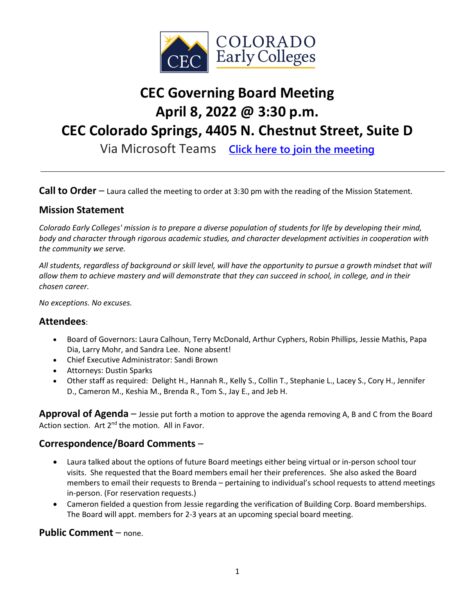

## **CEC Governing Board Meeting April 8, 2022 @ 3:30 p.m.**

# **CEC Colorado Springs, 4405 N. Chestnut Street, Suite D**

Via Microsoft Teams **[Click here to join the meeting](https://teams.microsoft.com/l/meetup-join/19%3ameeting_ZjRiMmRjODktZDRkNS00MGE2LTlhNTUtOTJjODE3MzMyZmUz%40thread.v2/0?context=%7b%22Tid%22%3a%22756e5b19-b4c4-4dc1-ae63-693179768af4%22%2c%22Oid%22%3a%22ffbf9d26-5ca2-4104-9e70-09b8cf3093f9%22%7d)**

**Call to Order** – Laura called the meeting to order at 3:30 pm with the reading of the Mission Statement.

## **Mission Statement**

*Colorado Early Colleges' mission is to prepare a diverse population of students for life by developing their mind, body and character through rigorous academic studies, and character development activities in cooperation with the community we serve.*

*All students, regardless of background or skill level, will have the opportunity to pursue a growth mindset that will allow them to achieve mastery and will demonstrate that they can succeed in school, in college, and in their chosen career.*

*No exceptions. No excuses.*

#### **Attendees**:

- Board of Governors: Laura Calhoun, Terry McDonald, Arthur Cyphers, Robin Phillips, Jessie Mathis, Papa Dia, Larry Mohr, and Sandra Lee. None absent!
- Chief Executive Administrator: Sandi Brown
- Attorneys: Dustin Sparks
- Other staff as required: Delight H., Hannah R., Kelly S., Collin T., Stephanie L., Lacey S., Cory H., Jennifer D., Cameron M., Keshia M., Brenda R., Tom S., Jay E., and Jeb H.

**Approval of Agenda** – Jessie put forth a motion to approve the agenda removing A, B and C from the Board Action section. Art 2<sup>nd</sup> the motion. All in Favor.

## **Correspondence/Board Comments** –

- Laura talked about the options of future Board meetings either being virtual or in-person school tour visits. She requested that the Board members email her their preferences. She also asked the Board members to email their requests to Brenda – pertaining to individual's school requests to attend meetings in-person. (For reservation requests.)
- Cameron fielded a question from Jessie regarding the verification of Building Corp. Board memberships. The Board will appt. members for 2-3 years at an upcoming special board meeting.

#### **Public Comment** – none.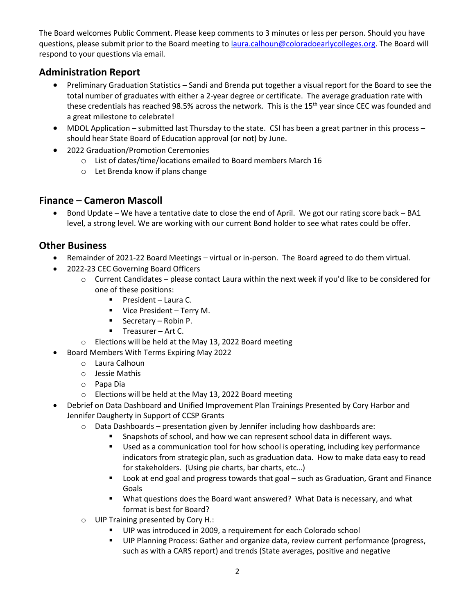The Board welcomes Public Comment. Please keep comments to 3 minutes or less per person. Should you have questions, please submit prior to the Board meeting to [laura.calhoun@coloradoearlycolleges.org.](mailto:laura.calhoun@coloradoearlycolleges.org) The Board will respond to your questions via email.

## **Administration Report**

- Preliminary Graduation Statistics Sandi and Brenda put together a visual report for the Board to see the total number of graduates with either a 2-year degree or certificate. The average graduation rate with these credentials has reached 98.5% across the network. This is the 15<sup>th</sup> year since CEC was founded and a great milestone to celebrate!
- MDOL Application submitted last Thursday to the state. CSI has been a great partner in this process should hear State Board of Education approval (or not) by June.
- 2022 Graduation/Promotion Ceremonies
	- o List of dates/time/locations emailed to Board members March 16
	- o Let Brenda know if plans change

## **Finance – Cameron Mascoll**

• Bond Update – We have a tentative date to close the end of April. We got our rating score back – BA1 level, a strong level. We are working with our current Bond holder to see what rates could be offer.

## **Other Business**

- Remainder of 2021-22 Board Meetings virtual or in-person. The Board agreed to do them virtual.
- 2022-23 CEC Governing Board Officers
	- $\circ$  Current Candidates please contact Laura within the next week if you'd like to be considered for one of these positions:
		- **President Laura C.**
		- **Vice President Terry M.**
		- Secretary Robin P.
		- $\blacksquare$  Treasurer Art C.
	- o Elections will be held at the May 13, 2022 Board meeting
- Board Members With Terms Expiring May 2022
	- o Laura Calhoun
	- o Jessie Mathis
	- o Papa Dia
	- o Elections will be held at the May 13, 2022 Board meeting
- Debrief on Data Dashboard and Unified Improvement Plan Trainings Presented by Cory Harbor and Jennifer Daugherty in Support of CCSP Grants
	- $\circ$  Data Dashboards presentation given by Jennifer including how dashboards are:
		- Snapshots of school, and how we can represent school data in different ways.
		- Used as a communication tool for how school is operating, including key performance indicators from strategic plan, such as graduation data. How to make data easy to read for stakeholders. (Using pie charts, bar charts, etc…)
		- Look at end goal and progress towards that goal such as Graduation, Grant and Finance Goals
		- What questions does the Board want answered? What Data is necessary, and what format is best for Board?
	- o UIP Training presented by Cory H.:
		- UIP was introduced in 2009, a requirement for each Colorado school
		- **UIP Planning Process: Gather and organize data, review current performance (progress,** such as with a CARS report) and trends (State averages, positive and negative